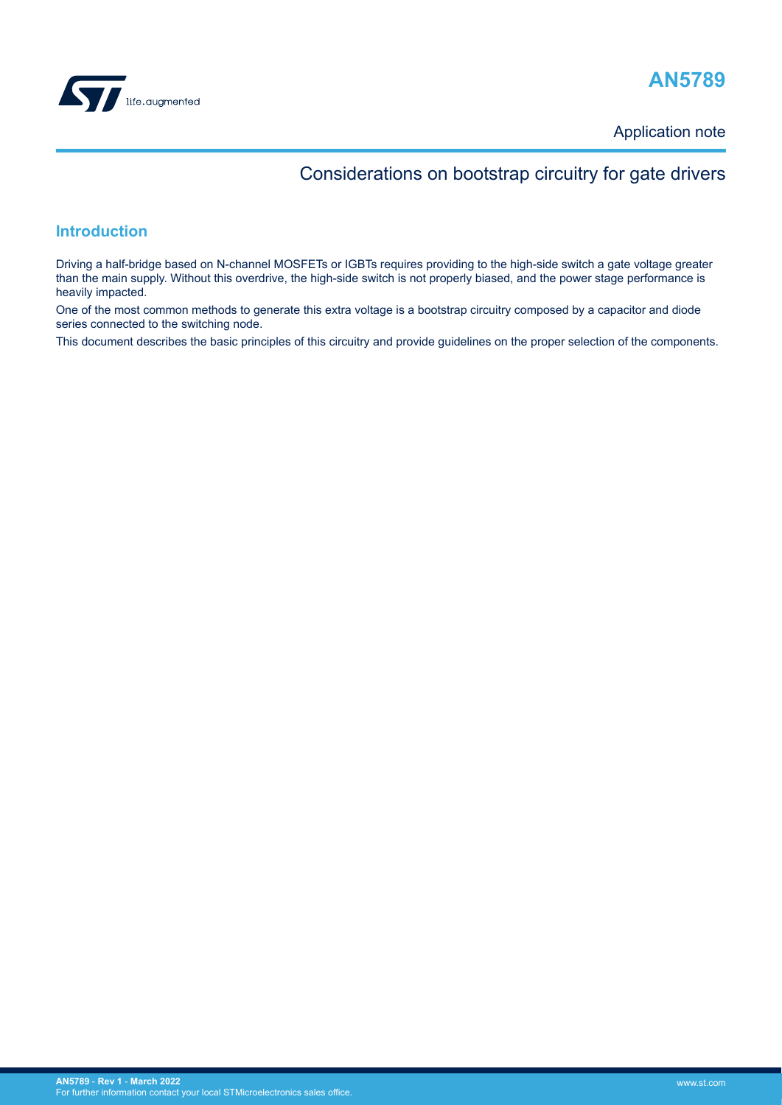

# **AN5789**

Application note

# Considerations on bootstrap circuitry for gate drivers

## **Introduction**

Driving a half-bridge based on N-channel MOSFETs or IGBTs requires providing to the high-side switch a gate voltage greater than the main supply. Without this overdrive, the high-side switch is not properly biased, and the power stage performance is heavily impacted.

One of the most common methods to generate this extra voltage is a bootstrap circuitry composed by a capacitor and diode series connected to the switching node.

This document describes the basic principles of this circuitry and provide guidelines on the proper selection of the components.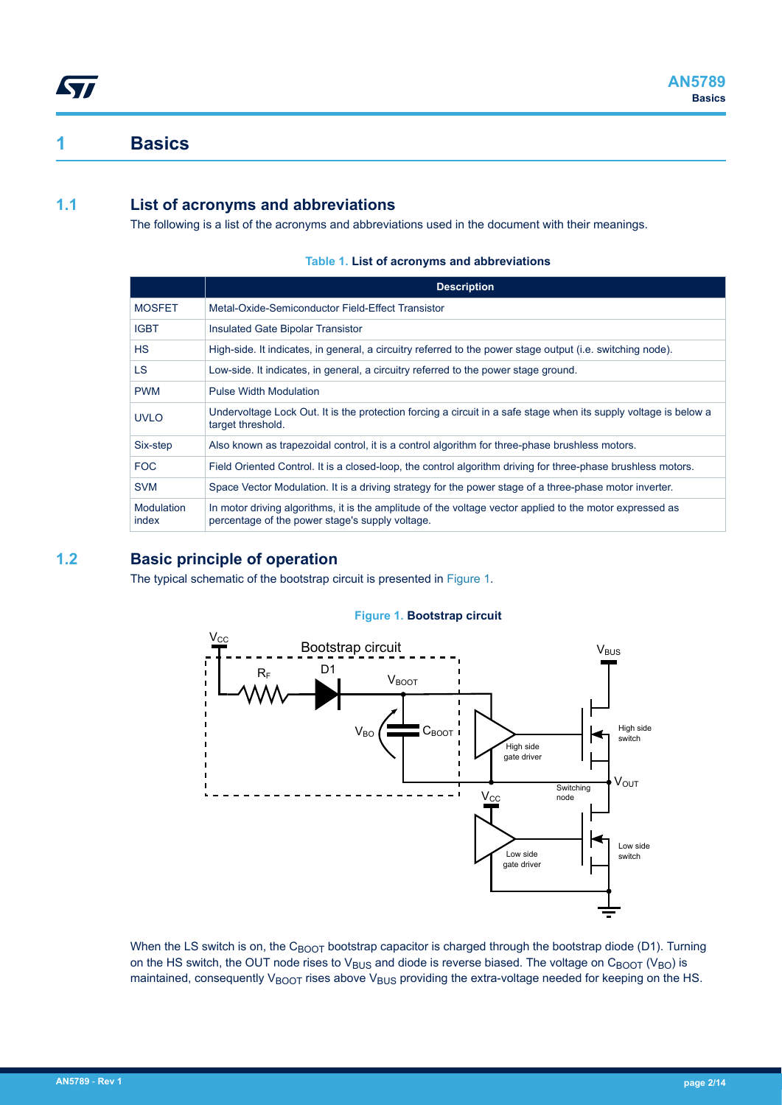## **1 Basics**

<span id="page-1-0"></span>*Lyt* 

## **1.1 List of acronyms and abbreviations**

The following is a list of the acronyms and abbreviations used in the document with their meanings.

|                     | <b>Description</b>                                                                                                                                          |
|---------------------|-------------------------------------------------------------------------------------------------------------------------------------------------------------|
| <b>MOSFET</b>       | Metal-Oxide-Semiconductor Field-Effect Transistor                                                                                                           |
| <b>IGBT</b>         | Insulated Gate Bipolar Transistor                                                                                                                           |
| <b>HS</b>           | High-side. It indicates, in general, a circuitry referred to the power stage output (i.e. switching node).                                                  |
| LS.                 | Low-side. It indicates, in general, a circuitry referred to the power stage ground.                                                                         |
| <b>PWM</b>          | <b>Pulse Width Modulation</b>                                                                                                                               |
| <b>UVLO</b>         | Undervoltage Lock Out. It is the protection forcing a circuit in a safe stage when its supply voltage is below a<br>target threshold.                       |
| Six-step            | Also known as trapezoidal control, it is a control algorithm for three-phase brushless motors.                                                              |
| <b>FOC</b>          | Field Oriented Control. It is a closed-loop, the control algorithm driving for three-phase brushless motors.                                                |
| <b>SVM</b>          | Space Vector Modulation. It is a driving strategy for the power stage of a three-phase motor inverter.                                                      |
| Modulation<br>index | In motor driving algorithms, it is the amplitude of the voltage vector applied to the motor expressed as<br>percentage of the power stage's supply voltage. |

### **Table 1. List of acronyms and abbreviations**

## **1.2 Basic principle of operation**

The typical schematic of the bootstrap circuit is presented in Figure 1.





When the LS switch is on, the CBOOT bootstrap capacitor is charged through the bootstrap diode (D1). Turning on the HS switch, the OUT node rises to V<sub>BUS</sub> and diode is reverse biased. The voltage on C<sub>BOOT</sub> (V<sub>BO</sub>) is maintained, consequently  $V_{\text{BOOT}}$  rises above  $V_{\text{BUS}}$  providing the extra-voltage needed for keeping on the HS.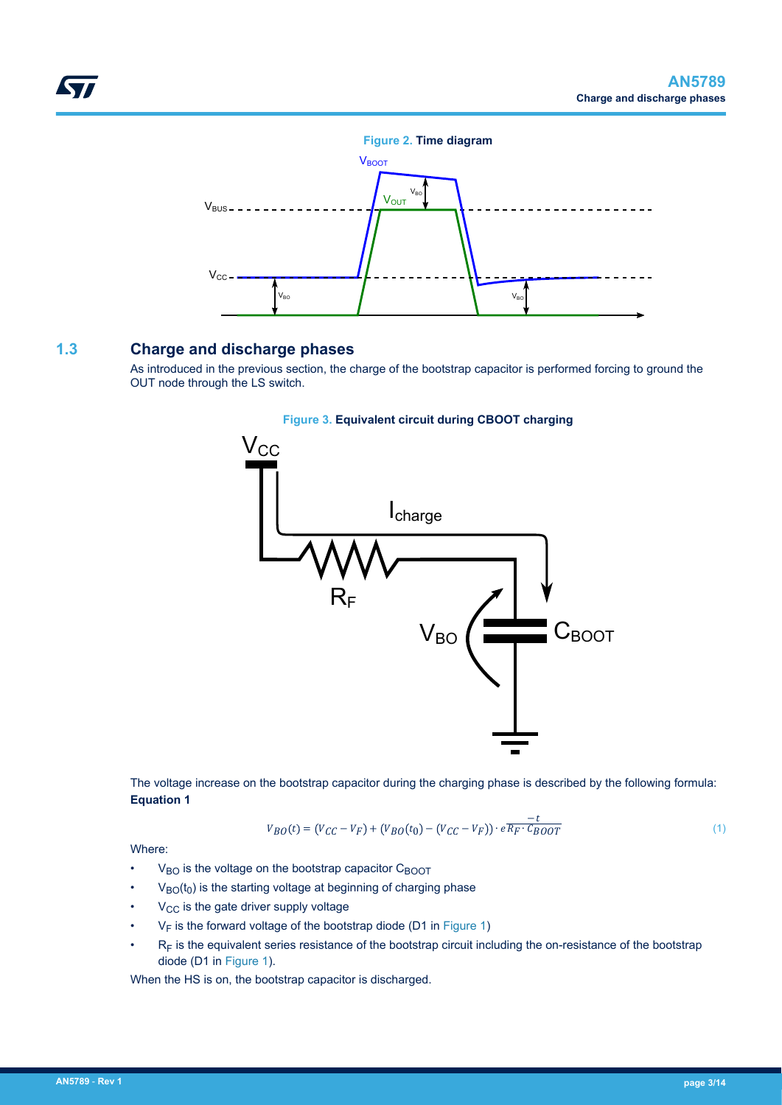<span id="page-2-0"></span>

## **1.3 Charge and discharge phases**

As introduced in the previous section, the charge of the bootstrap capacitor is performed forcing to ground the OUT node through the LS switch.



### **Figure 3. Equivalent circuit during CBOOT charging**

The voltage increase on the bootstrap capacitor during the charging phase is described by the following formula: **Equation 1**

$$
V_{BO}(t) = (V_{CC} - V_F) + (V_{BO}(t_0) - (V_{CC} - V_F)) \cdot e \frac{-t}{R_F \cdot C_{BOOT}}
$$
(1)

Where:

- $V_{BO}$  is the voltage on the bootstrap capacitor  $C_{BOOT}$
- $V_{BO}(t_0)$  is the starting voltage at beginning of charging phase
- $V_{CC}$  is the gate driver supply voltage
- $V_F$  is the forward voltage of the bootstrap diode (D1 in [Figure 1\)](#page-1-0)
- $\cdot$  R<sub>F</sub> is the equivalent series resistance of the bootstrap circuit including the on-resistance of the bootstrap diode (D1 in [Figure 1\)](#page-1-0).

When the HS is on, the bootstrap capacitor is discharged.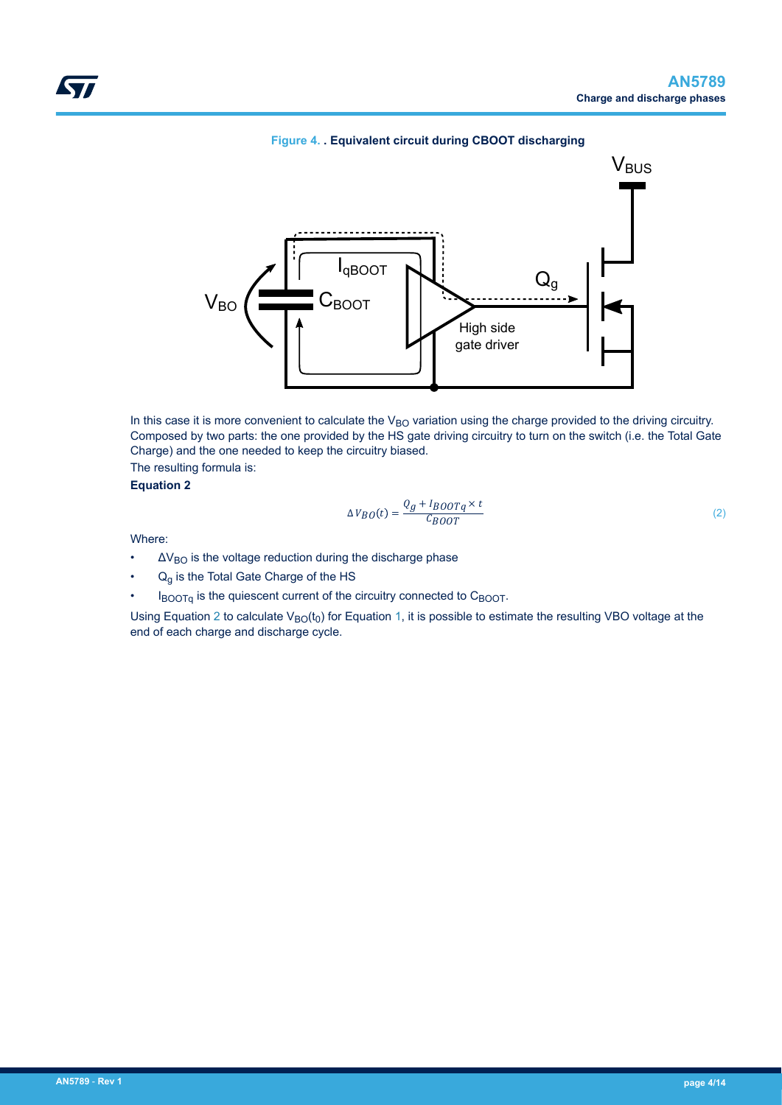<span id="page-3-0"></span>

### **Figure 4. . Equivalent circuit during CBOOT discharging**

In this case it is more convenient to calculate the  $V_{BO}$  variation using the charge provided to the driving circuitry. Composed by two parts: the one provided by the HS gate driving circuitry to turn on the switch (i.e. the Total Gate Charge) and the one needed to keep the circuitry biased.

The resulting formula is:

**Equation 2**

$$
\Delta V_{BO}(t) = \frac{Q_g + I_{BOOTq} \times t}{C_{BOOT}} \tag{2}
$$

Where:

- $\Delta V_{\rm BO}$  is the voltage reduction during the discharge phase
- $Q<sub>q</sub>$  is the Total Gate Charge of the HS
- $I_{\text{BOOTo}}$  is the quiescent current of the circuitry connected to  $C_{\text{BOOT}}$ .

Using Equation 2 to calculate  $V_{BO}(t_0)$  for Equation [1,](#page-2-0) it is possible to estimate the resulting VBO voltage at the end of each charge and discharge cycle.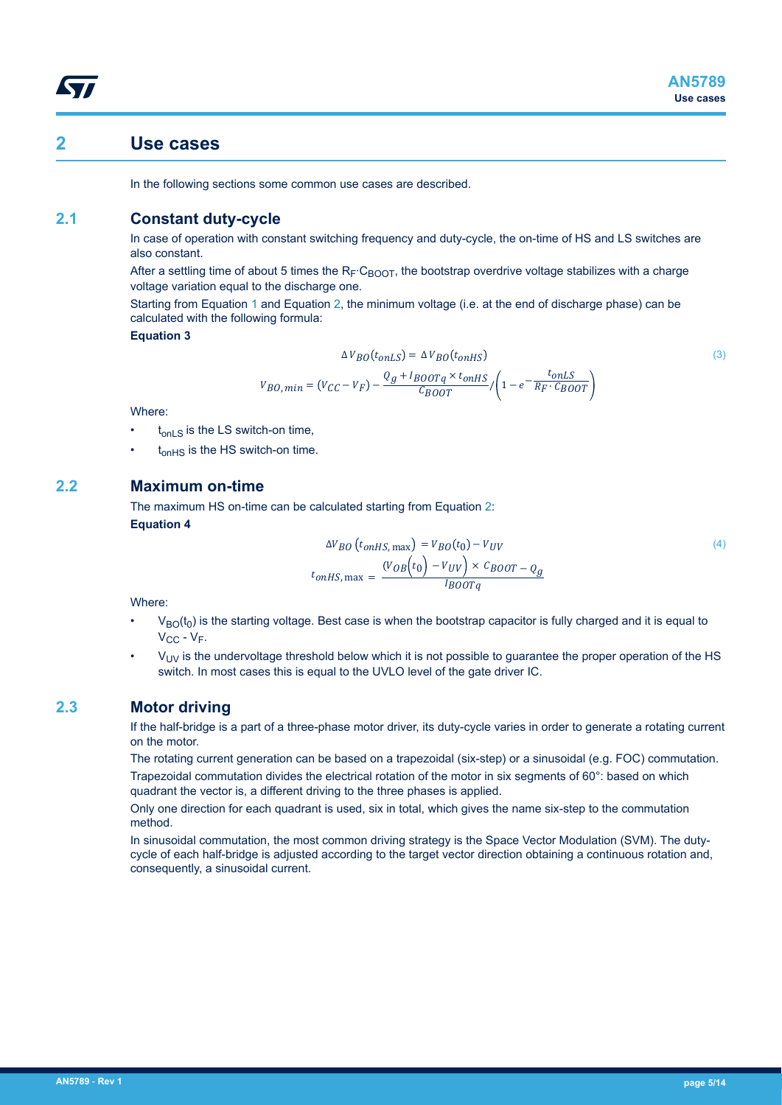## <span id="page-4-0"></span>**2 Use cases**

In the following sections some common use cases are described.

## **2.1 Constant duty-cycle**

In case of operation with constant switching frequency and duty-cycle, the on-time of HS and LS switches are also constant.

After a settling time of about 5 times the R<sub>F</sub>⋅C<sub>BOOT</sub>, the bootstrap overdrive voltage stabilizes with a charge voltage variation equal to the discharge one.

Starting from Equation [1](#page-2-0) and Equation [2](#page-3-0), the minimum voltage (i.e. at the end of discharge phase) can be calculated with the following formula:

**Equation 3**

$$
\Delta V_{BO}(t_{onLS}) = \Delta V_{BO}(t_{onHS})
$$
\n
$$
V_{BO,min} = (V_{CC} - V_F) - \frac{Q_g + I_{BOOTq} \times t_{onHS}}{C_{BOOT}} / \left(1 - e^{-\frac{t_{onLS}}{R_F \cdot C_{BOOT}}}\right)
$$
\n(3)

Where:

- $t_{\text{on}}$  s is the LS switch-on time,
- t<sub>onHS</sub> is the HS switch-on time.

## **2.2 Maximum on-time**

The maximum HS on-time can be calculated starting from Equation [2](#page-3-0): **Equation 4**

$$
\Delta V_{BO} (t_{onHS, \text{max}}) = V_{BO}(t_0) - V_{UV}
$$
\n
$$
t_{onHS, \text{max}} = \frac{(V_{OB}(t_0) - V_{UV}) \times C_{BOOT} - Q_g}{I_{BOOTq}}
$$
\n
$$
(4)
$$

Where:

- $V_{\text{BO}}(t_0)$  is the starting voltage. Best case is when the bootstrap capacitor is fully charged and it is equal to  $V_{CC} - V_F$ .
- $V_{UV}$  is the undervoltage threshold below which it is not possible to guarantee the proper operation of the HS switch. In most cases this is equal to the UVLO level of the gate driver IC.

## **2.3 Motor driving**

If the half-bridge is a part of a three-phase motor driver, its duty-cycle varies in order to generate a rotating current on the motor.

The rotating current generation can be based on a trapezoidal (six-step) or a sinusoidal (e.g. FOC) commutation. Trapezoidal commutation divides the electrical rotation of the motor in six segments of 60°: based on which quadrant the vector is, a different driving to the three phases is applied.

Only one direction for each quadrant is used, six in total, which gives the name six-step to the commutation method.

In sinusoidal commutation, the most common driving strategy is the Space Vector Modulation (SVM). The dutycycle of each half-bridge is adjusted according to the target vector direction obtaining a continuous rotation and, consequently, a sinusoidal current.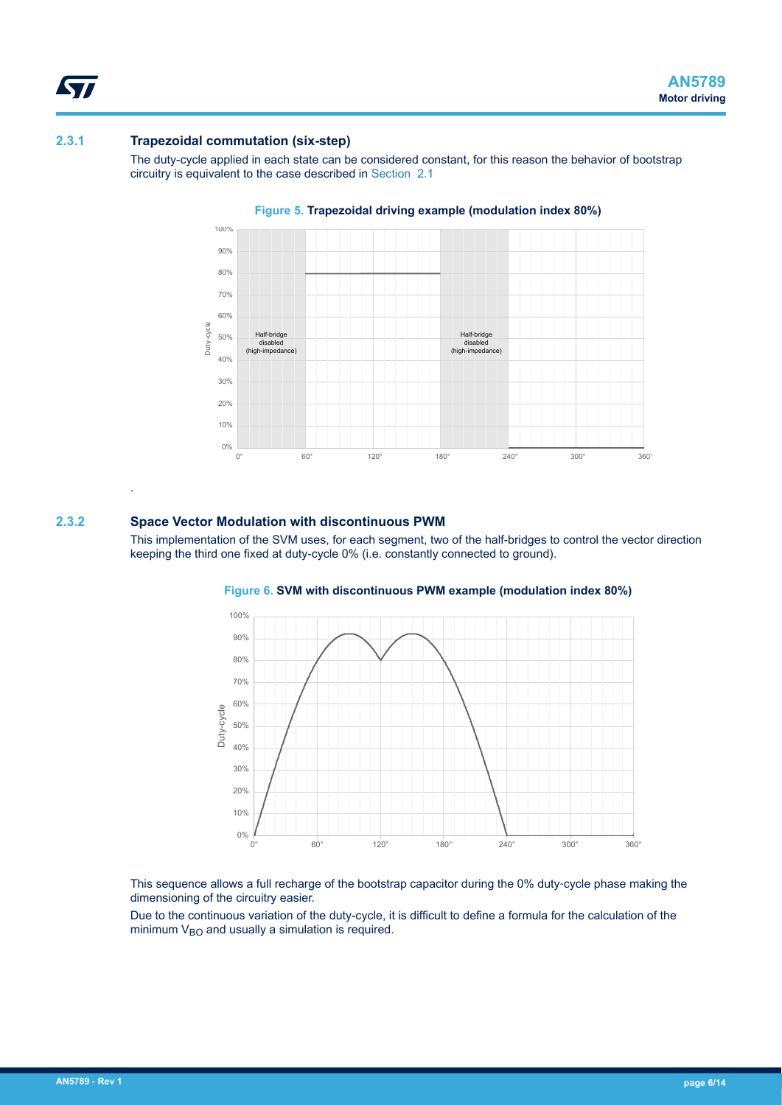### **2.3.1 Trapezoidal commutation (six-step)**

The duty-cycle applied in each state can be considered constant, for this reason the behavior of bootstrap circuitry is equivalent to the case described in [Section 2.1](#page-4-0) 



#### **Figure 5. Trapezoidal driving example (modulation index 80%)**

### **2.3.2 Space Vector Modulation with discontinuous PWM**

.

<span id="page-5-0"></span>**Syr** 

This implementation of the SVM uses, for each segment, two of the half-bridges to control the vector direction keeping the third one fixed at duty-cycle 0% (i.e. constantly connected to ground).



#### **Figure 6. SVM with discontinuous PWM example (modulation index 80%)**

This sequence allows a full recharge of the bootstrap capacitor during the 0% duty-cycle phase making the dimensioning of the circuitry easier.

Due to the continuous variation of the duty-cycle, it is difficult to define a formula for the calculation of the minimum  $V_{BO}$  and usually a simulation is required.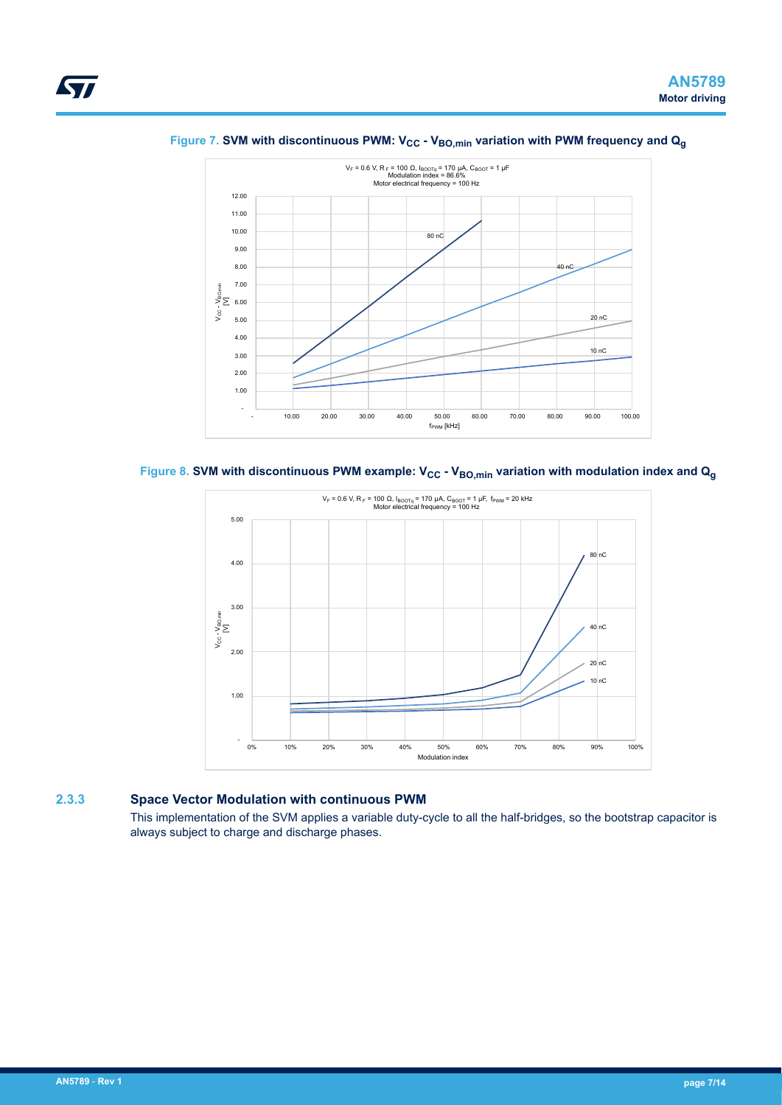<span id="page-6-0"></span>



Figure 7. SVM with discontinuous PWM: V<sub>CC</sub> - V<sub>BO,min</sub> variation with PWM frequency and Q<sub>q</sub>





### **2.3.3 Space Vector Modulation with continuous PWM**

This implementation of the SVM applies a variable duty-cycle to all the half-bridges, so the bootstrap capacitor is always subject to charge and discharge phases.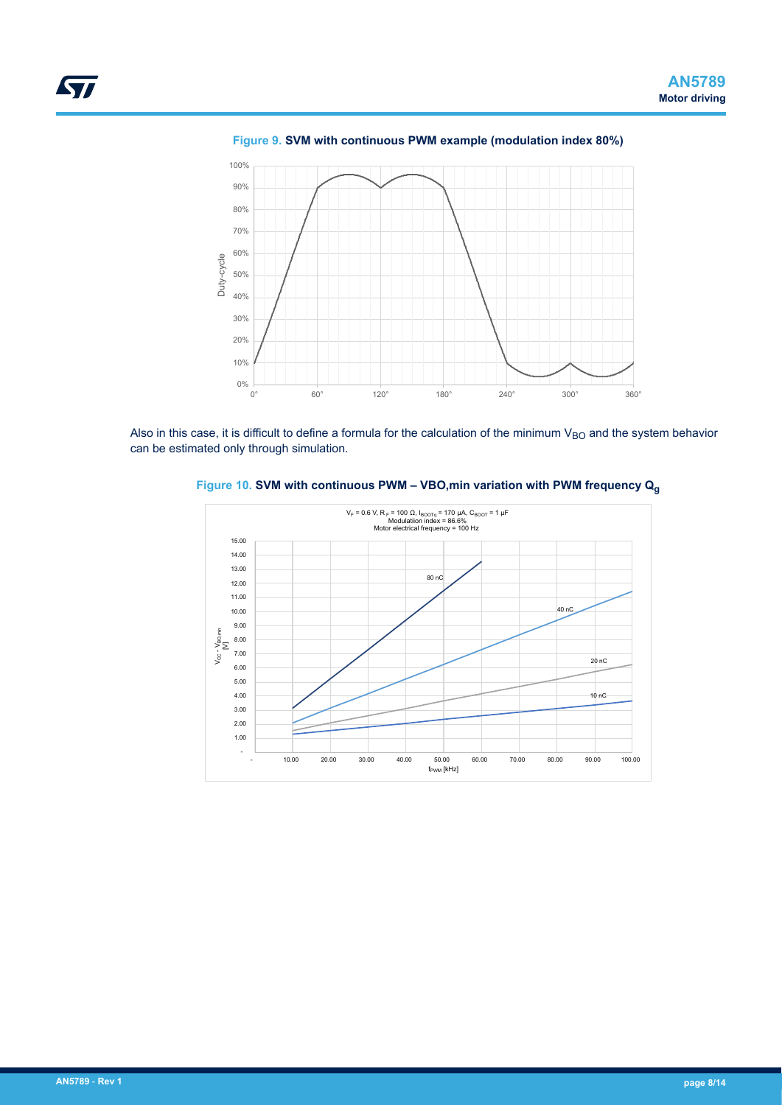<span id="page-7-0"></span>

**Figure 9. SVM with continuous PWM example (modulation index 80%)**

Also in this case, it is difficult to define a formula for the calculation of the minimum  $V_{BO}$  and the system behavior can be estimated only through simulation.



**Figure 10. SVM with continuous PWM – VBO,min variation with PWM frequency Q<sup>g</sup>**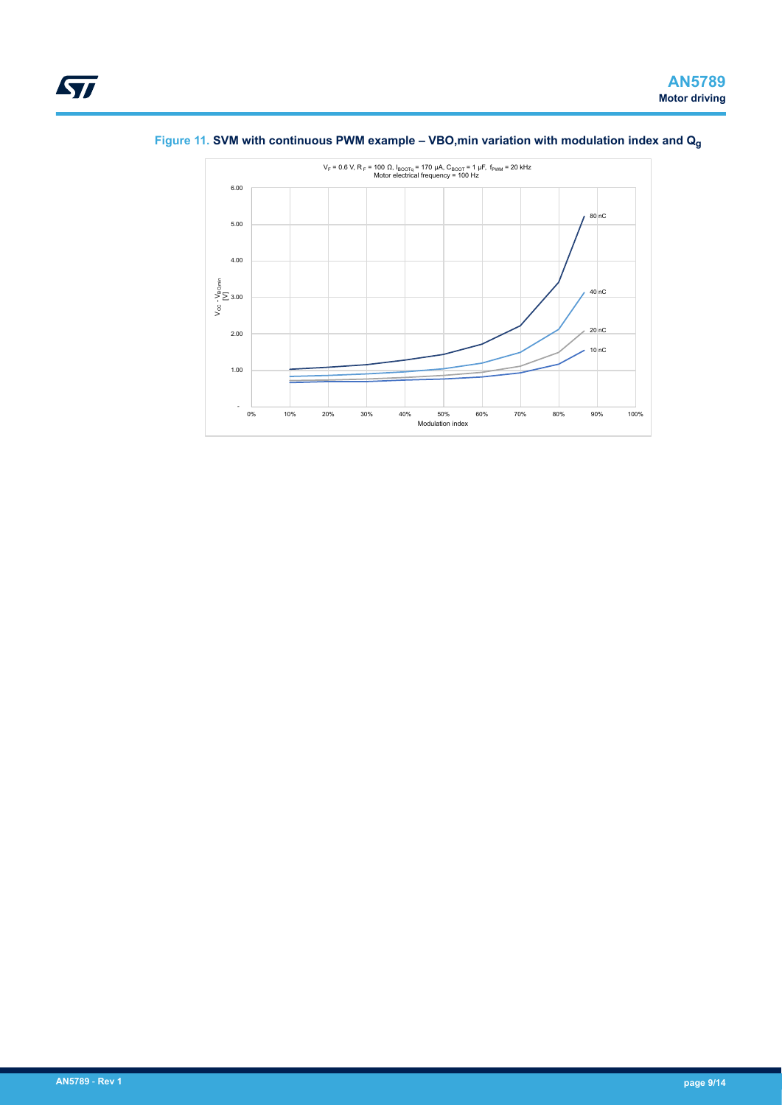

## <span id="page-8-0"></span>**Figure 11. SVM with continuous PWM example – VBO,min variation with modulation index and Q<sup>g</sup>**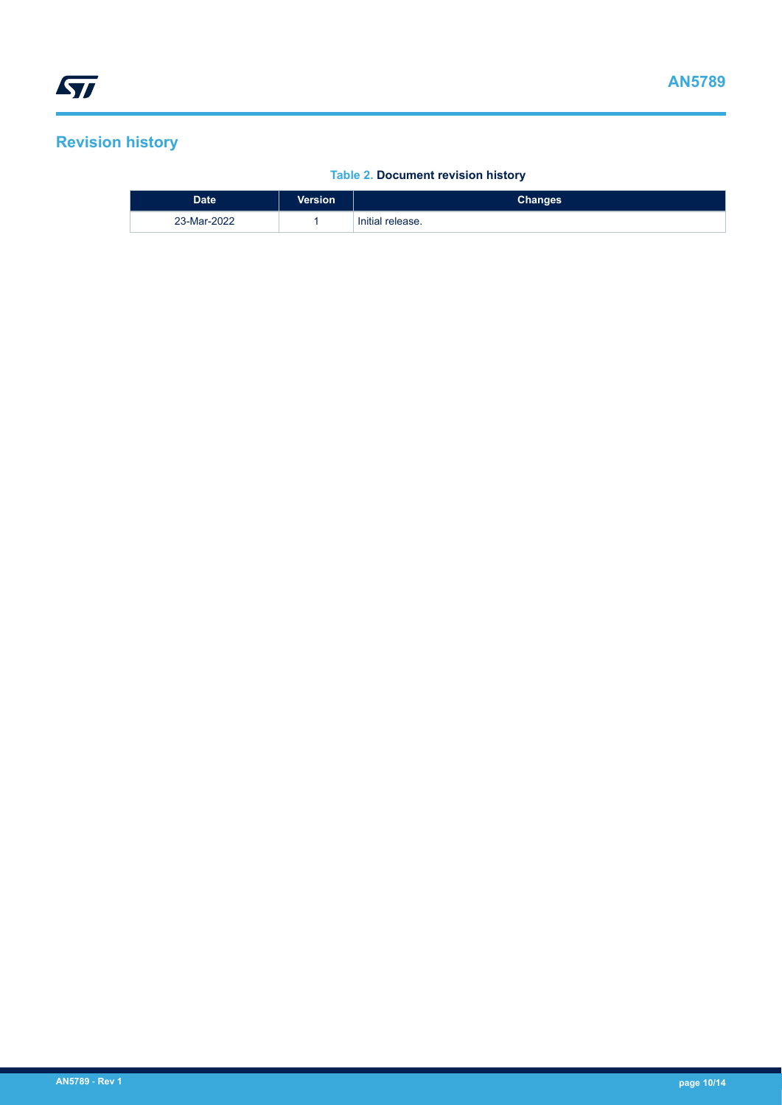# <span id="page-9-0"></span>**Revision history**

### **Table 2. Document revision history**

| <b>Date</b> | <b>Version</b> | Changes          |
|-------------|----------------|------------------|
| 23-Mar-2022 |                | Initial release. |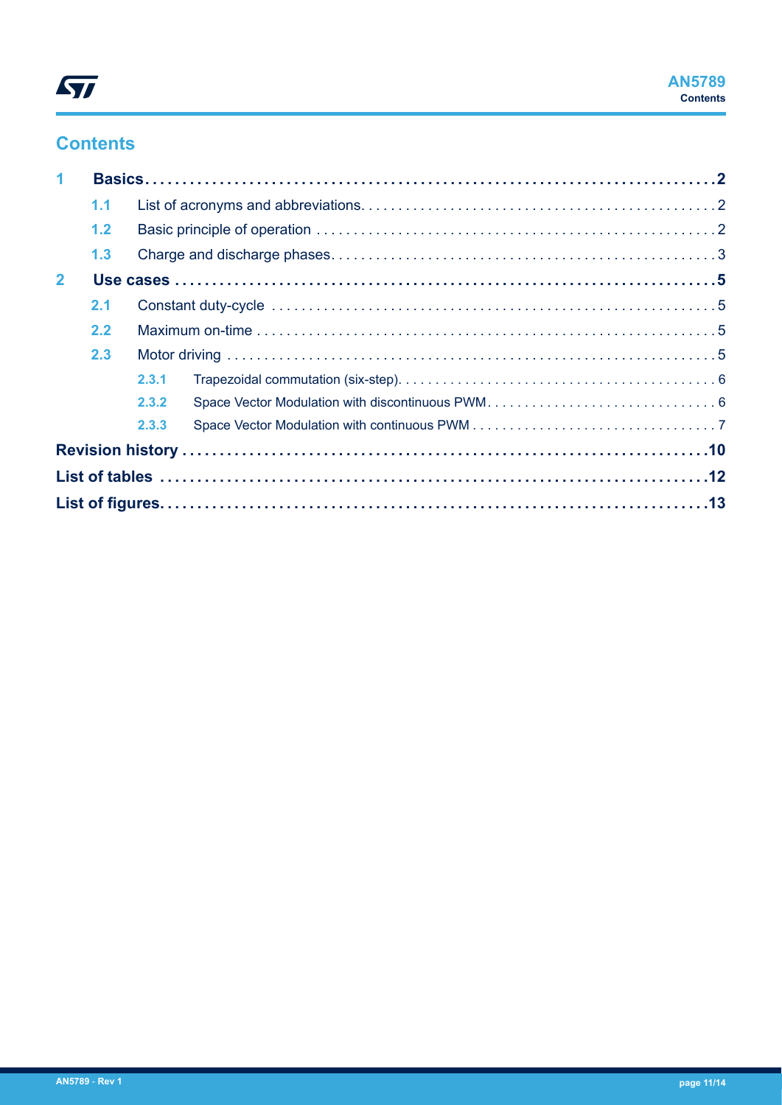# **Contents**

| 1              |     |       |  |
|----------------|-----|-------|--|
|                | 1.1 |       |  |
|                | 1.2 |       |  |
|                | 1.3 |       |  |
| $\overline{2}$ |     |       |  |
|                | 2.1 |       |  |
|                | 2.2 |       |  |
|                | 2.3 |       |  |
|                |     | 2.3.1 |  |
|                |     | 2.3.2 |  |
|                |     | 2.3.3 |  |
|                |     |       |  |
|                |     |       |  |
|                |     |       |  |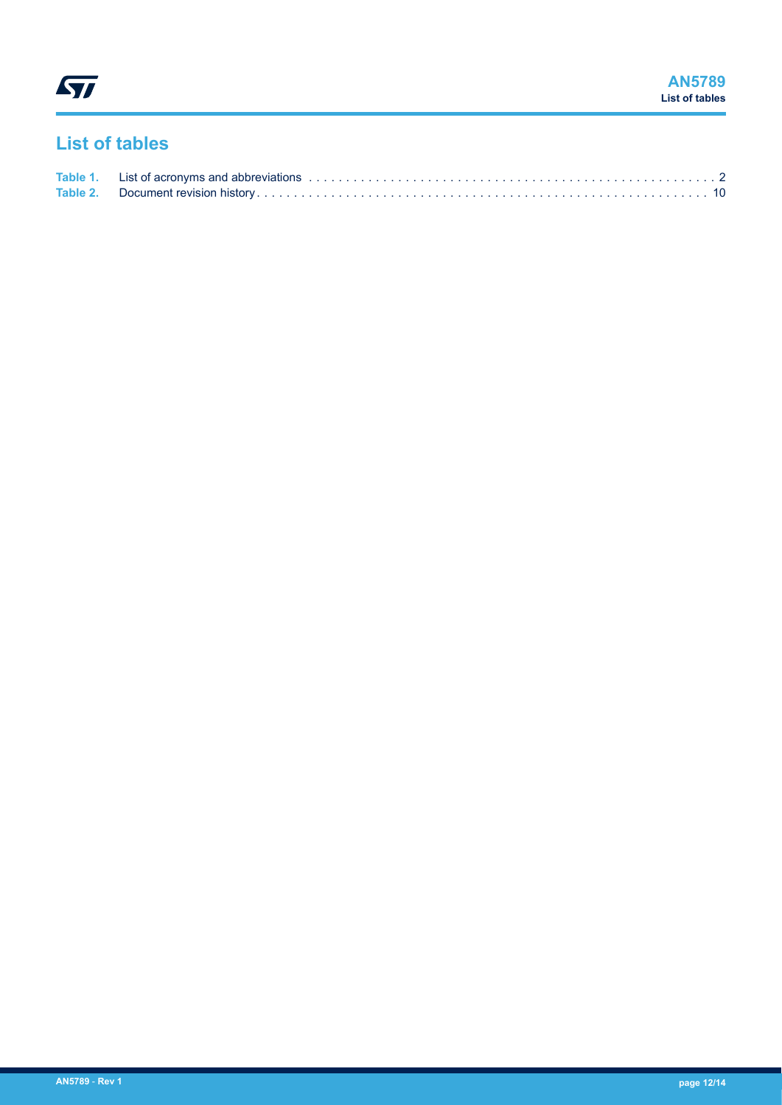<span id="page-11-0"></span>ST

# **List of tables**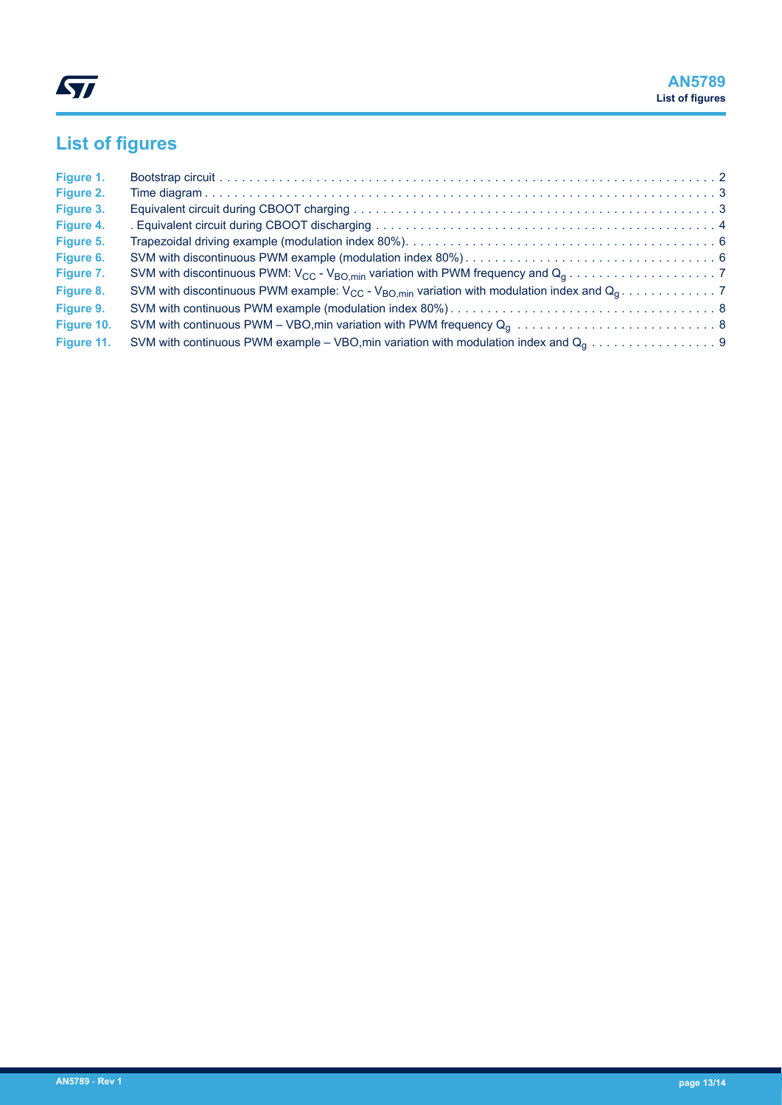# <span id="page-12-0"></span>**List of figures**

| Figure 1.  |  |
|------------|--|
| Figure 2.  |  |
| Figure 3.  |  |
| Figure 4.  |  |
| Figure 5.  |  |
| Figure 6.  |  |
| Figure 7.  |  |
| Figure 8.  |  |
| Figure 9.  |  |
| Figure 10. |  |
| Figure 11. |  |